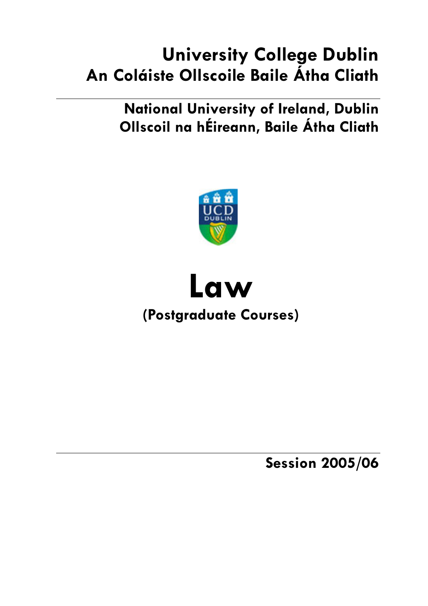# **University College Dublin** An Coláiste Ollscoile Baile Átha Cliath

**National University of Ireland, Dublin** Ollscoil na hÉireann, Baile Átha Cliath





**Session 2005/06**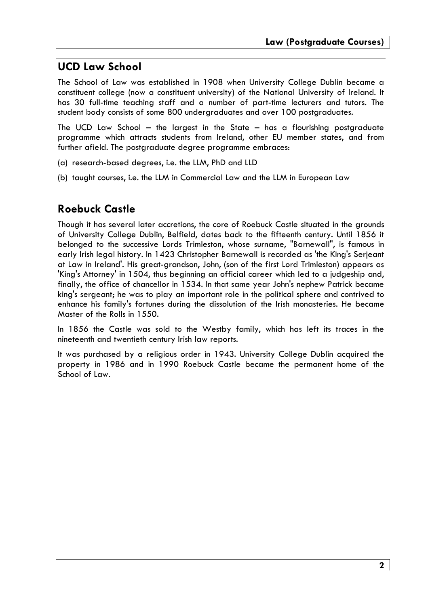# **UCD Law School**

The School of Law was established in 1908 when University College Dublin became a constituent college (now a constituent university) of the National University of Ireland. It has 30 full-time teaching staff and a number of part-time lecturers and tutors. The student body consists of some 800 undergraduates and over 100 postgraduates.

The UCD Law School  $-$  the largest in the State  $-$  has a flourishing postgraduate programme which attracts students from Ireland, other EU member states, and from further afield. The postgraduate degree programme embraces:

- (a) research-based degrees, i.e. the LLM, PhD and LLD
- (b) taught courses, i.e. the LLM in Commercial Law and the LLM in European Law

# **Roebuck Castle**

Though it has several later accretions, the core of Roebuck Castle situated in the grounds of University College Dublin, Belfield, dates back to the fifteenth century. Until 1856 it belonged to the successive Lords Trimleston, whose surname, "Barnewall", is famous in early Irish legal history. In 1423 Christopher Barnewall is recorded as 'the King's Serjeant at Law in Ireland'. His great-grandson, John, (son of the first Lord Trimleston) appears as 'King's Attorney' in 1504, thus beginning an official career which led to a judgeship and, finally, the office of chancellor in 1534. In that same year John's nephew Patrick became king's sergeant; he was to play an important role in the political sphere and contrived to enhance his family's fortunes during the dissolution of the Irish monasteries. He became Master of the Rolls in 1550.

In 1856 the Castle was sold to the Westby family, which has left its traces in the nineteenth and twentieth century Irish law reports.

It was purchased by a religious order in 1943. University College Dublin acquired the property in 1986 and in 1990 Roebuck Castle became the permanent home of the School of Law.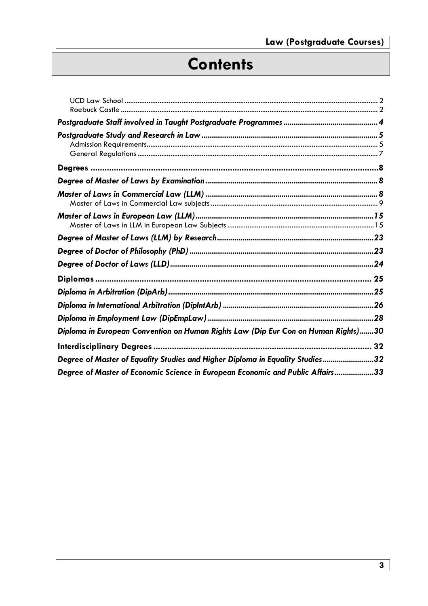# **Contents**

| Diploma in European Convention on Human Rights Law (Dip Eur Con on Human Rights)30 |  |
|------------------------------------------------------------------------------------|--|
|                                                                                    |  |
| Degree of Master of Equality Studies and Higher Diploma in Equality Studies32      |  |
| Degree of Master of Economic Science in European Economic and Public Affairs33     |  |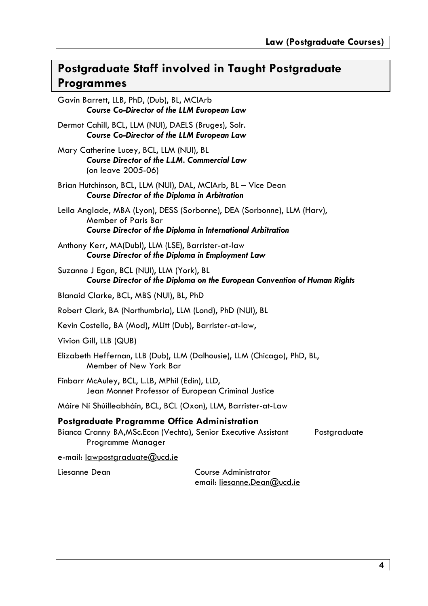# Postgraduate Staff involved in Taught Postgraduate **Programmes**

Gavin Barrett, LLB, PhD, (Dub), BL, MCIArb Course Co-Director of the LLM European Law Dermot Cahill, BCL, LLM (NUI), DAELS (Bruges), Solr. **Course Co-Director of the LLM European Law** Mary Catherine Lucey, BCL, LLM (NUI), BL Course Director of the L.LM. Commercial Law (on leave 2005-06) Brian Hutchinson, BCL, LLM (NUI), DAL, MCIArb, BL - Vice Dean **Course Director of the Diploma in Arbitration** Leila Anglade, MBA (Lyon), DESS (Sorbonne), DEA (Sorbonne), LLM (Harv), Member of Paris Bar **Course Director of the Diploma in International Arbitration** Anthony Kerr, MA(Dubl), LLM (LSE), Barrister-at-law Course Director of the Diploma in Employment Law Suzanne J Egan, BCL (NUI), LLM (York), BL Course Director of the Diploma on the European Convention of Human Rights Blanaid Clarke, BCL, MBS (NUI), BL, PhD Robert Clark, BA (Northumbria), LLM (Lond), PhD (NUI), BL Kevin Costello, BA (Mod), MLitt (Dub), Barrister-at-law, Vivion Gill, LLB (QUB) Elizabeth Heffernan, LLB (Dub), LLM (Dalhousie), LLM (Chicago), PhD, BL, Member of New York Bar Finbarr McAuley, BCL, L.LB, MPhil (Edin), LLD, Jean Monnet Professor of European Criminal Justice Máire Ní Shúilleabháin, BCL, BCL (Oxon), LLM, Barrister-at-Law Postgraduate Programme Office Administration Bianca Cranny BA, MSc. Econ (Vechta), Senior Executive Assistant Postgraduate Programme Manager e-mail: lawpostgraduate@ucd.ie

Liesanne Dean

Course Administrator email: liesanne.Dean@ucd.ie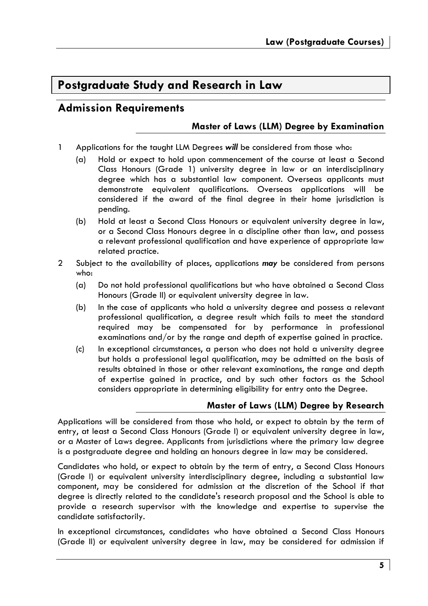# Postgraduate Study and Research in Law

# **Admission Requirements**

# Master of Laws (LLM) Dearee by Examination

- $\mathbf{1}$ Applications for the taught LLM Dearees will be considered from those who:
	- $(a)$ Hold or expect to hold upon commencement of the course at least a Second Class Honours (Grade 1) university degree in law or an interdisciplinary dearee which has a substantial law component. Overseas applicants must demonstrate equivalent qualifications. Overseas applications will be considered if the award of the final dearee in their home iurisdiction is pending.
	- $(b)$ Hold at least a Second Class Honours or equivalent university degree in law, or a Second Class Honours dearee in a discipline other than law, and possess a relevant professional qualification and have experience of appropriate law related practice.
- $\overline{2}$ Subject to the availability of places, applications may be considered from persons who:
	- $(a)$ Do not hold professional qualifications but who have obtained a Second Class Honours (Grade II) or equivalent university degree in law.
	- $(b)$ In the case of applicants who hold a university degree and possess a relevant professional qualification, a degree result which fails to meet the standard required may be compensated for by performance in professional examinations and/or by the range and depth of expertise gained in practice.
	- $(c)$ In exceptional circumstances, a person who does not hold a university degree but holds a professional legal qualification, may be admitted on the basis of results obtained in those or other relevant examinations, the range and depth of expertise gained in practice, and by such other factors as the School considers appropriate in determining eligibility for entry onto the Degree.

# Master of Laws (LLM) Degree by Research

Applications will be considered from those who hold, or expect to obtain by the term of entry, at least a Second Class Honours (Grade I) or equivalent university degree in law, or a Master of Laws degree. Applicants from jurisdictions where the primary law degree is a postgraduate degree and holding an honours degree in law may be considered.

Candidates who hold, or expect to obtain by the term of entry, a Second Class Honours (Grade I) or equivalent university interdisciplinary degree, including a substantial law component, may be considered for admission at the discretion of the School if that degree is directly related to the candidate's research proposal and the School is able to provide a research supervisor with the knowledge and expertise to supervise the candidate satisfactorily.

In exceptional circumstances, candidates who have obtained a Second Class Honours (Grade II) or equivalent university degree in law, may be considered for admission if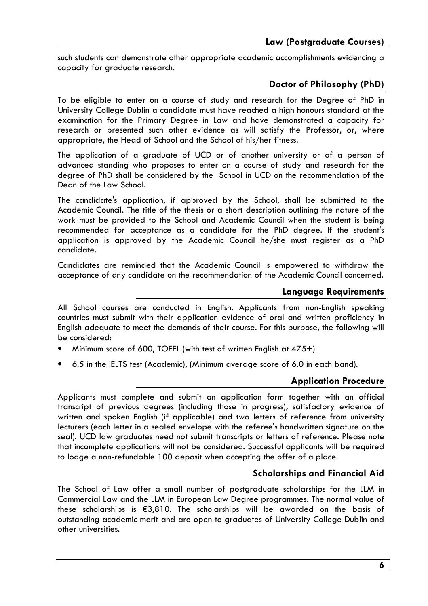such students can demonstrate other appropriate academic accomplishments evidencing a capacity for graduate research.

# Doctor of Philosophy (PhD)

To be eligible to enter on a course of study and research for the Degree of PhD in University College Dublin a candidate must have reached a high honours standard at the examination for the Primary Degree in Law and have demonstrated a capacity for research or presented such other evidence as will satisfy the Professor, or, where appropriate, the Head of School and the School of his/her fitness.

The application of a graduate of UCD or of another university or of a person of advanced standing who proposes to enter on a course of study and research for the degree of PhD shall be considered by the School in UCD on the recommendation of the Dean of the Law School.

The candidate's application, if approved by the School, shall be submitted to the Academic Council. The title of the thesis or a short description outlining the nature of the work must be provided to the School and Academic Council when the student is being recommended for acceptance as a candidate for the PhD degree. If the student's application is approved by the Academic Council he/she must register as a PhD candidate.

Candidates are reminded that the Academic Council is empowered to withdraw the acceptance of any candidate on the recommendation of the Academic Council concerned.

## **Language Requirements**

All School courses are conducted in English. Applicants from non-English speaking countries must submit with their application evidence of oral and written proficiency in English adequate to meet the demands of their course. For this purpose, the following will be considered:

- Minimum score of 600, TOEFL (with test of written English at  $475+$ )
- 6.5 in the IELTS test (Academic), (Minimum average score of 6.0 in each band).

# **Application Procedure**

Applicants must complete and submit an application form together with an official transcript of previous degrees (including those in progress), satisfactory evidence of written and spoken English (if applicable) and two letters of reference from university lecturers (each letter in a sealed envelope with the referee's handwritten signature on the seal). UCD law graduates need not submit transcripts or letters of reference. Please note that incomplete applications will not be considered. Successful applicants will be required to lodge a non-refundable 100 deposit when accepting the offer of a place.

# **Scholarships and Financial Aid**

The School of Law offer a small number of postgraduate scholarships for the LLM in Commercial Law and the LLM in European Law Degree programmes. The normal value of these scholarships is €3,810. The scholarships will be awarded on the basis of outstanding academic merit and are open to graduates of University College Dublin and other universities.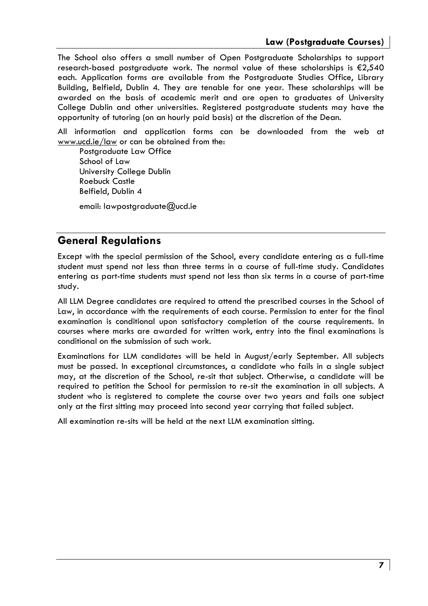The School also offers a small number of Open Postgraduate Scholarships to support research-based postgraduate work. The normal value of these scholarships is €2,540 each. Application forms are available from the Postgraduate Studies Office, Library Building, Belfield, Dublin 4. They are tenable for one year. These scholarships will be awarded on the basis of academic merit and are open to araduates of University College Dublin and other universities. Registered postgraduate students may have the opportunity of tutoring (on an hourly paid basis) at the discretion of the Dean.

All information and application forms can be downloaded from the web at www.ucd.ie/law or can be obtained from the:

Postaraduate Law Office School of Law University College Dublin Roebuck Castle Belfield, Dublin 4

email: lawpostgraduate@ucd.ie

# **General Requlations**

Except with the special permission of the School, every candidate entering as a full-time student must spend not less than three terms in a course of full-time study. Candidates entering as part-time students must spend not less than six terms in a course of part-time study.

All LLM Degree candidates are required to attend the prescribed courses in the School of Law, in accordance with the requirements of each course. Permission to enter for the final examination is conditional upon satisfactory completion of the course requirements. In courses where marks are awarded for written work, entry into the final examinations is conditional on the submission of such work.

Examinations for LLM candidates will be held in August/early September. All subjects must be passed. In exceptional circumstances, a candidate who fails in a single subject may, at the discretion of the School, re-sit that subject. Otherwise, a candidate will be required to petition the School for permission to re-sit the examination in all subjects. A student who is registered to complete the course over two years and fails one subject only at the first sitting may proceed into second year carrying that failed subject.

All examination re-sits will be held at the next LLM examination sitting.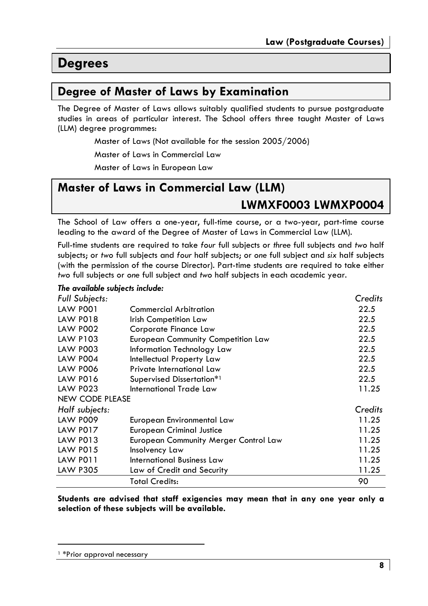# **Degrees**

# Degree of Master of Laws by Examination

The Degree of Master of Laws allows suitably qualified students to pursue postgraduate studies in areas of particular interest. The School offers three taught Master of Laws (LLM) degree programmes:

Master of Laws (Not available for the session 2005/2006)

Master of Laws in Commercial Law

Master of Laws in European Law

# Master of Laws in Commercial Law (LLM)

# LWMXF0003 LWMXP0004

The School of Law offers a one-year, full-time course, or a two-year, part-time course leading to the award of the Degree of Master of Laws in Commercial Law (LLM).

Full-time students are required to take four full subjects or three full subjects and two half subjects; or two full subjects and four half subjects; or one full subject and six half subjects (with the permission of the course Director). Part-time students are required to take either two full subjects or one full subject and two half subjects in each academic year.

#### The available subjects include:

| <b>Full Subjects:</b>  |                                              | Credits |
|------------------------|----------------------------------------------|---------|
| <b>LAW P001</b>        | <b>Commercial Arbitration</b>                | 22.5    |
| <b>LAW P018</b>        | Irish Competition Law                        | 22.5    |
| <b>LAW P002</b>        | Corporate Finance Law                        | 22.5    |
| LAW P103               | <b>European Community Competition Law</b>    | 22.5    |
| <b>LAW P003</b>        | Information Technology Law                   | 22.5    |
| <b>LAW P004</b>        | Intellectual Property Law                    | 22.5    |
| <b>LAW P006</b>        | Private International Law                    | 22.5    |
| <b>LAW P016</b>        | Supervised Dissertation*1                    | 22.5    |
| <b>LAW P023</b>        | International Trade Law                      | 11.25   |
| <b>NEW CODE PLEASE</b> |                                              |         |
| Half subjects:         |                                              | Credits |
| <b>LAW P009</b>        | European Environmental Law                   | 11.25   |
| <b>LAW P017</b>        | <b>European Criminal Justice</b>             | 11.25   |
| LAW P013               | <b>European Community Merger Control Law</b> | 11.25   |
| <b>LAW P015</b>        | Insolvency Law                               | 11.25   |
| LAW PO11               | <b>International Business Law</b>            | 11.25   |
| <b>LAW P305</b>        | Law of Credit and Security                   | 11.25   |
|                        | <b>Total Credits:</b>                        | 90      |

Students are advised that staff exigencies may mean that in any one year only a selection of these subjects will be available.

<sup>&</sup>lt;sup>1</sup>\*Prior approval necessary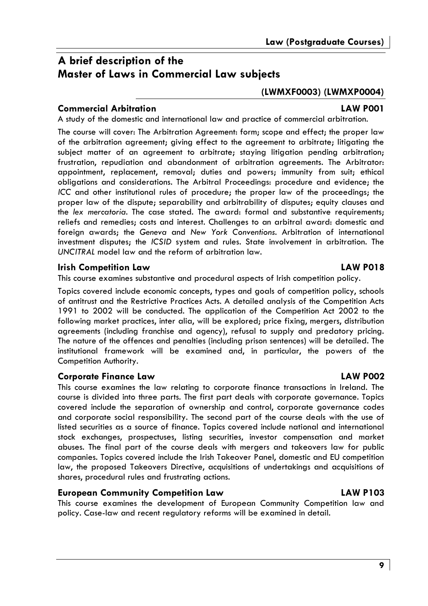# A brief description of the **Master of Laws in Commercial Law subjects**

# (LWMXF0003) (LWMXP0004)

# **Commercial Arbitration**

A study of the domestic and international law and practice of commercial arbitration.

The course will cover: The Arbitration Agreement: form; scope and effect; the proper law of the arbitration agreement; giving effect to the agreement to arbitrate; litigating the subject matter of an agreement to arbitrate; staying litigation pending arbitration; frustration, repudiation and abandonment of arbitration agreements. The Arbitrator: appointment, replacement, removal; duties and powers; immunity from suit; ethical obligations and considerations. The Arbitral Proceedings: procedure and evidence; the ICC and other institutional rules of procedure; the proper law of the proceedings; the proper law of the dispute; separability and arbitrability of disputes; equity clauses and the lex mercatoria. The case stated. The award: formal and substantive requirements; reliefs and remedies: costs and interest. Challenaes to an arbitral award: domestic and foreign awards; the Geneva and New York Conventions. Arbitration of international investment disputes; the ICSID system and rules. State involvement in arbitration. The UNCITRAL model law and the reform of arbitration law.

# **Irish Competition Law**

This course examines substantive and procedural aspects of Irish competition policy.

Topics covered include economic concepts, types and goals of competition policy, schools of antitrust and the Restrictive Practices Acts. A detailed analysis of the Competition Acts 1991 to 2002 will be conducted. The application of the Competition Act 2002 to the following market practices, inter alia, will be explored; price fixing, mergers, distribution agreements (including franchise and agency), refusal to supply and predatory pricing. The nature of the offences and penalties (including prison sentences) will be detailed. The institutional framework will be examined and, in particular, the powers of the Competition Authority.

# **Corporate Finance Law**

This course examines the law relating to corporate finance transactions in Ireland. The course is divided into three parts. The first part deals with corporate governance. Topics covered include the separation of ownership and control, corporate governance codes and corporate social responsibility. The second part of the course deals with the use of listed securities as a source of finance. Topics covered include national and international stock exchanges, prospectuses, listing securities, investor compensation and market abuses. The final part of the course deals with mergers and takeovers law for public companies. Topics covered include the Irish Takeover Panel, domestic and EU competition law, the proposed Takeovers Directive, acquisitions of undertakings and acquisitions of shares, procedural rules and frustrating actions.

# **European Community Competition Law**

This course examines the development of European Community Competition law and policy. Case-law and recent regulatory reforms will be examined in detail.

## **LAW PO18**

# **LAW POO1**

# **LAW P103**

**LAW POO2**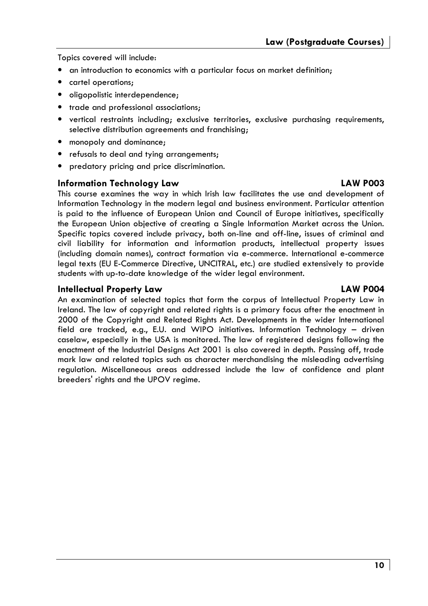Topics covered will include:

- an introduction to economics with a particular focus on market definition:
- cartel operations;
- · oligopolistic interdependence;
- trade and professional associations:
- vertical restraints including; exclusive territories, exclusive purchasing requirements, selective distribution agreements and franchising;
- monopoly and dominance;
- refusals to deal and tying arrangements;
- predatory pricing and price discrimination.

#### **Information Technology Law**

This course examines the way in which Irish law facilitates the use and development of Information Technology in the modern legal and business environment. Particular attention is paid to the influence of European Union and Council of Europe initiatives, specifically the European Union objective of creating a Single Information Market across the Union. Specific topics covered include privacy, both on-line and off-line, issues of criminal and civil liability for information and information products, intellectual property issues (including domain names), contract formation via e-commerce. International e-commerce legal texts (EU E-Commerce Directive, UNCITRAL, etc.) are studied extensively to provide students with up-to-date knowledge of the wider legal environment.

#### **Intellectual Property Law**

An examination of selected topics that form the corpus of Intellectual Property Law in Ireland. The law of copyright and related rights is a primary focus after the enactment in 2000 of the Copyright and Related Rights Act. Developments in the wider International field are tracked, e.g., E.U. and WIPO initiatives. Information Technology - driven caselaw, especially in the USA is monitored. The law of registered designs following the enactment of the Industrial Designs Act 2001 is also covered in depth. Passing off, trade mark law and related topics such as character merchandising the misleading advertising regulation. Miscellaneous areas addressed include the law of confidence and plant breeders' rights and the UPOV regime.

#### **LAW PO04**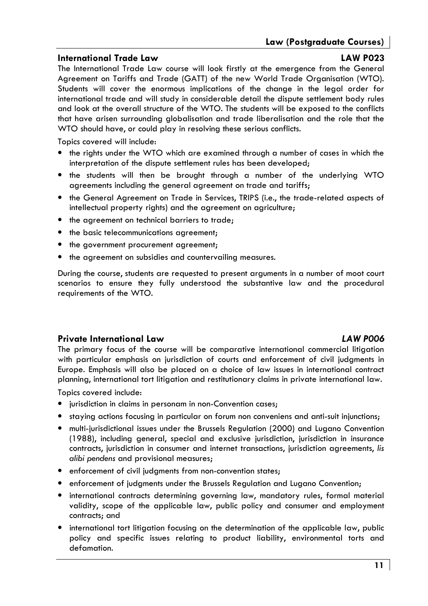# **International Trade Law**

# **LAW P023**

The International Trade Law course will look firstly at the emergence from the General Agreement on Tariffs and Trade (GATT) of the new World Trade Organisation (WTO). Students will cover the enormous implications of the change in the legal order for international trade and will study in considerable detail the dispute settlement body rules and look at the overall structure of the WTO. The students will be exposed to the conflicts that have arisen surrounding globalisation and trade liberalisation and the role that the WTO should have, or could play in resolving these serious conflicts.

Topics covered will include:

- the rights under the WTO which are examined through a number of cases in which the interpretation of the dispute settlement rules has been developed;
- the students will then be brought through a number of the underlying WTO agreements including the general gareement on trade and tariffs:
- . the General Agreement on Trade in Services, TRIPS (i.e., the trade-related aspects of intellectual property rights) and the agreement on agriculture;
- the agreement on technical barriers to trade;
- the basic telecommunications agreement:
- the government procurement agreement;
- the agreement on subsidies and countervailing measures.

During the course, students are requested to present arguments in a number of moot court scenarios to ensure they fully understood the substantive law and the procedural requirements of the WTO.

# Private International Law

# **I AW POO6**

The primary focus of the course will be comparative international commercial litigation with particular emphasis on jurisdiction of courts and enforcement of civil judgments in Europe. Emphasis will also be placed on a choice of law issues in international contract planning, international tort litigation and restitutionary claims in private international law.

Topics covered include:

- jurisdiction in claims in personam in non-Convention cases;
- staying actions focusing in particular on forum non conveniens and anti-suit injunctions;
- multi-jurisdictional issues under the Brussels Regulation (2000) and Lugano Convention (1988), including general, special and exclusive jurisdiction, jurisdiction in insurance contracts, jurisdiction in consumer and internet transactions, jurisdiction agreements, lis alibi pendens and provisional measures;
- enforcement of civil judgments from non-convention states;
- enforcement of judgments under the Brussels Regulation and Lugano Convention;
- international contracts determining governing law, mandatory rules, formal material validity, scope of the applicable law, public policy and consumer and employment contracts: and
- international tort litigation focusing on the determination of the applicable law, public policy and specific issues relating to product liability, environmental torts and defamation.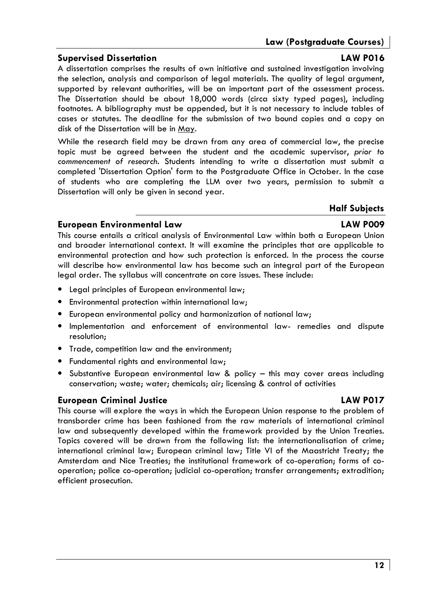# Law (Postgraduate Courses)

# **Supervised Dissertation**

A dissertation comprises the results of own initiative and sustained investigation involving the selection, analysis and comparison of legal materials. The quality of legal argument, supported by relevant authorities, will be an important part of the assessment process. The Dissertation should be about 18,000 words (circa sixty typed pages), including footnotes. A bibliography must be appended, but it is not necessary to include tables of cases or statutes. The deadline for the submission of two bound copies and a copy on disk of the Dissertation will be in May.

While the research field may be drawn from any area of commercial law, the precise topic must be agreed between the student and the academic supervisor, prior to commencement of research. Students intending to write a dissertation must submit a completed 'Dissertation Option' form to the Postaraduate Office in October. In the case of students who are completing the LLM over two years, permission to submit a Dissertation will only be given in second year.

# **Half Subjects**

# **LAW POO9**

This course entails a critical analysis of Environmental Law within both a European Union and broader international context. It will examine the principles that are applicable to environmental protection and how such protection is enforced. In the process the course will describe how environmental law has become such an integral part of the European legal order. The syllabus will concentrate on core issues. These include:

- Legal principles of European environmental law:
- Environmental protection within international law;
- European environmental policy and harmonization of national law:
- . Implementation and enforcement of environmental law- remedies and dispute resolution:
- Trade, competition law and the environment;
- Fundamental rights and environmental law:
- Substantive European environmental law & policy this may cover areas including conservation; waste; water; chemicals; air; licensing & control of activities

# **European Criminal Justice**

**European Environmental Law** 

This course will explore the ways in which the European Union response to the problem of transborder crime has been fashioned from the raw materials of international criminal law and subsequently developed within the framework provided by the Union Treaties. Topics covered will be drawn from the following list: the internationalisation of crime; international criminal law; European criminal law; Title VI of the Maastricht Treaty; the Amsterdam and Nice Treaties; the institutional framework of co-operation; forms of cooperation; police co-operation; judicial co-operation; transfer arrangements; extradition; efficient prosecution.

## **LAW PO16**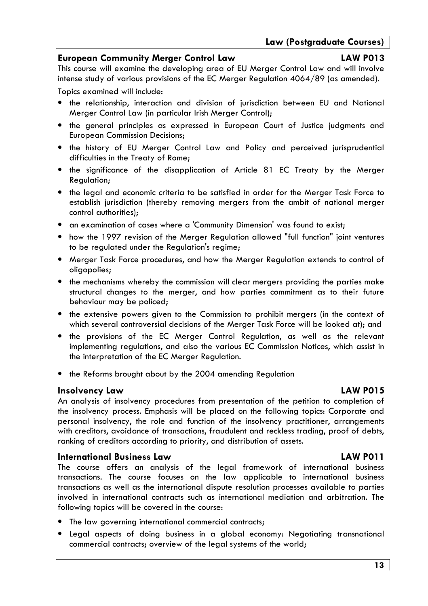# **European Community Merger Control Law**

# LAW PO13

This course will examine the developing area of EU Merger Control Law and will involve intense study of various provisions of the EC Merger Regulation  $4064/89$  (as amended).

Topics examined will include:

- the relationship, interaction and division of jurisdiction between EU and National Merger Control Law (in particular Irish Merger Control);
- the general principles as expressed in European Court of Justice judgments and **European Commission Decisions:**
- the history of EU Merger Control Law and Policy and perceived jurisprudential difficulties in the Treaty of Rome;
- the significance of the disapplication of Article 81 EC Treaty by the Merger Regulation;
- the legal and economic criteria to be satisfied in order for the Merger Task Force to establish jurisdiction (thereby removing mergers from the ambit of national merger control authorities);
- an examination of cases where a 'Community Dimension' was found to exist;
- how the 1997 revision of the Merger Regulation allowed "full function" joint ventures to be reaulated under the Reaulation's reaime:
- Merger Task Force procedures, and how the Merger Regulation extends to control of oligopolies:
- the mechanisms whereby the commission will clear mergers providing the parties make structural changes to the merger, and how parties commitment as to their future behaviour may be policed;
- the extensive powers given to the Commission to prohibit mergers (in the context of which several controversial decisions of the Merger Task Force will be looked at); and
- the provisions of the EC Merger Control Regulation, as well as the relevant implementing regulations, and also the various EC Commission Notices, which assist in the interpretation of the EC Merger Regulation.
- the Reforms brought about by the 2004 amending Regulation

# **Insolvency Law**

An analysis of insolvency procedures from presentation of the petition to completion of the insolvency process. Emphasis will be placed on the following topics: Corporate and personal insolvency, the role and function of the insolvency practitioner, arrangements with creditors, avoidance of transactions, fraudulent and reckless trading, proof of debts, ranking of creditors according to priority, and distribution of assets.

# **International Business Law**

The course offers an analysis of the legal framework of international business transactions. The course focuses on the law applicable to international business transactions as well as the international dispute resolution processes available to parties involved in international contracts such as international mediation and arbitration. The following topics will be covered in the course:

- The law governing international commercial contracts;
- Legal aspects of doing business in a global economy: Negotiating transnational commercial contracts; overview of the legal systems of the world;

# **LAW PO15**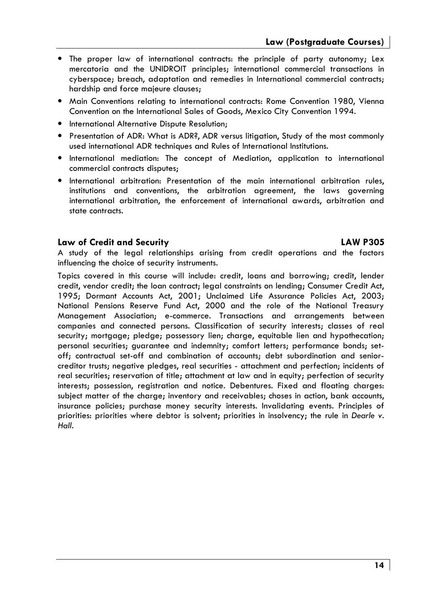- The proper law of international contracts: the principle of party autonomy; Lex mercatoria and the UNIDROIT principles; international commercial transactions in cyberspace; breach, adaptation and remedies in International commercial contracts; hardship and force majeure clauses;
- Main Conventions relating to international contracts: Rome Convention 1980. Vienna Convention on the International Sales of Goods, Mexico City Convention 1994.
- International Alternative Dispute Resolution;
- Presentation of ADR: What is ADR?, ADR versus litigation, Study of the most commonly used international ADR techniques and Rules of International Institutions.
- International mediation: The concept of Mediation, application to international commercial contracts disputes:
- · International arbitration: Presentation of the main international arbitration rules, institutions and conventions, the arbitration agreement, the laws governing international arbitration, the enforcement of international awards, arbitration and state contracts.

## Law of Credit and Security

# **LAW P305**

A study of the legal relationships arising from credit operations and the factors influencing the choice of security instruments.

Topics covered in this course will include: credit, loans and borrowing; credit, lender credit, vendor credit; the loan contract; legal constraints on lending; Consumer Credit Act, 1995; Dormant Accounts Act, 2001; Unclaimed Life Assurance Policies Act, 2003; National Pensions Reserve Fund Act, 2000 and the role of the National Treasury Management Association; e-commerce. Transactions and arrangements between companies and connected persons. Classification of security interests; classes of real security; mortgage; pledge; possessory lien; charge, equitable lien and hypothecation; personal securities; guarantee and indemnity; comfort letters; performance bonds; setoff; contractual set-off and combination of accounts; debt subordination and seniorcreditor trusts; negative pledges, real securities - attachment and perfection; incidents of real securities; reservation of title; attachment at law and in equity; perfection of security interests; possession, registration and notice. Debentures. Fixed and floating charges: subject matter of the charge; inventory and receivables; choses in action, bank accounts, insurance policies; purchase money security interests. Invalidating events. Principles of priorities: priorities where debtor is solvent; priorities in insolvency; the rule in Dearle v. Hall.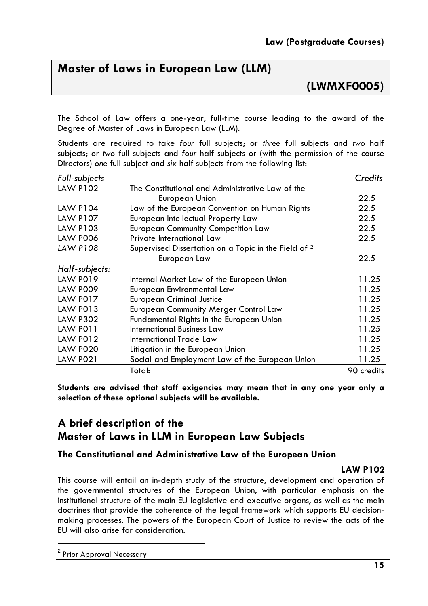# Master of Laws in European Law (LLM)

(LWMXF0005)

The School of Law offers a one-year, full-time course leading to the award of the Degree of Master of Laws in European Law (LLM).

Students are required to take four full subjects; or three full subjects and two half subjects: or two full subjects and four half subjects or (with the permission of the course Directors) one full subject and six half subjects from the following list:

| Full-subjects   |                                                                 | Credits    |
|-----------------|-----------------------------------------------------------------|------------|
| <b>LAW P102</b> | The Constitutional and Administrative Law of the                |            |
|                 | European Union                                                  | 22.5       |
| <b>LAW P104</b> | Law of the European Convention on Human Rights                  | 22.5       |
| <b>LAW P107</b> | European Intellectual Property Law                              | 22.5       |
| LAW P103        | <b>European Community Competition Law</b>                       | 22.5       |
| <b>LAW P006</b> | Private International Law                                       | 22.5       |
| <b>LAW P108</b> | Supervised Dissertation on a Topic in the Field of <sup>2</sup> |            |
|                 | European Law                                                    | 22.5       |
| Half-subjects:  |                                                                 |            |
| <b>LAW P019</b> | Internal Market Law of the European Union                       | 11.25      |
| <b>LAW P009</b> | European Environmental Law                                      | 11.25      |
| <b>LAW P017</b> | <b>European Criminal Justice</b>                                | 11.25      |
| LAW P013        | European Community Merger Control Law                           | 11.25      |
| <b>LAW P302</b> | Fundamental Rights in the European Union                        | 11.25      |
| LAW PO11        | International Business Law                                      | 11.25      |
| <b>LAW P012</b> | International Trade Law                                         | 11.25      |
| <b>LAW P020</b> | Litigation in the European Union                                | 11.25      |
| <b>LAW P021</b> | Social and Employment Law of the European Union                 | 11.25      |
|                 | Total:                                                          | 90 credits |

Students are advised that staff exigencies may mean that in any one year only a selection of these optional subjects will be available.

# A brief description of the **Master of Laws in LLM in European Law Subjects**

## The Constitutional and Administrative Law of the European Union

#### **LAW P102**

This course will entail an in-depth study of the structure, development and operation of the governmental structures of the European Union, with particular emphasis on the institutional structure of the main EU legislative and executive organs, as well as the main doctrines that provide the coherence of the legal framework which supports EU decisionmaking processes. The powers of the European Court of Justice to review the acts of the EU will also arise for consideration.

<sup>&</sup>lt;sup>2</sup> Prior Approval Necessary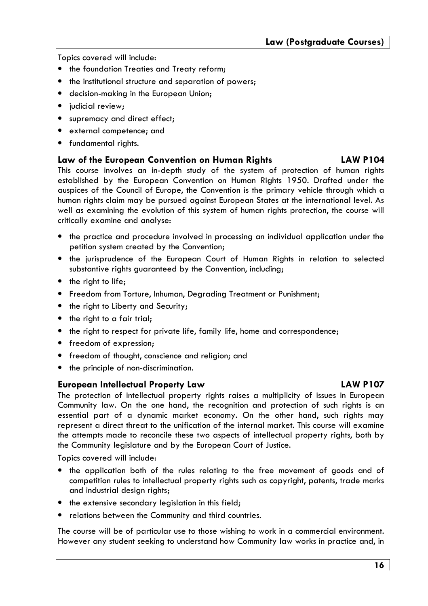Topics covered will include:

- the foundation Treaties and Treaty reform;
- the institutional structure and separation of powers:
- decision-making in the European Union;
- · judicial review;
- supremacy and direct effect;
- external competence; and
- fundamental rights.

#### **I AW P104** Law of the European Convention on Human Rights

This course involves an in-depth study of the system of protection of human rights established by the European Convention on Human Rights 1950. Drafted under the auspices of the Council of Europe, the Convention is the primary vehicle through which a human rights claim may be pursued against European States at the international level. As well as examining the evolution of this system of human rights protection, the course will critically examine and analyse:

- the practice and procedure involved in processing an individual application under the petition system created by the Convention;
- the jurisprudence of the European Court of Human Rights in relation to selected substantive rights quaranteed by the Convention, including;
- the right to life;
- Freedom from Torture, Inhuman, Degrading Treatment or Punishment;
- the right to Liberty and Security;
- the right to a fair trial;
- the right to respect for private life, family life, home and correspondence;
- freedom of expression:
- freedom of thought, conscience and religion; and
- the principle of non-discrimination.

## **European Intellectual Property Law**

#### The protection of intellectual property rights raises a multiplicity of issues in European Community law. On the one hand, the recognition and protection of such rights is an essential part of a dynamic market economy. On the other hand, such rights may represent a direct threat to the unification of the internal market. This course will examine the attempts made to reconcile these two aspects of intellectual property rights, both by the Community legislature and by the European Court of Justice.

Topics covered will include:

- the application both of the rules relating to the free movement of goods and of competition rules to intellectual property rights such as copyright, patents, trade marks and industrial design rights;
- the extensive secondary legislation in this field;
- relations between the Community and third countries.

The course will be of particular use to those wishing to work in a commercial environment. However any student seeking to understand how Community law works in practice and, in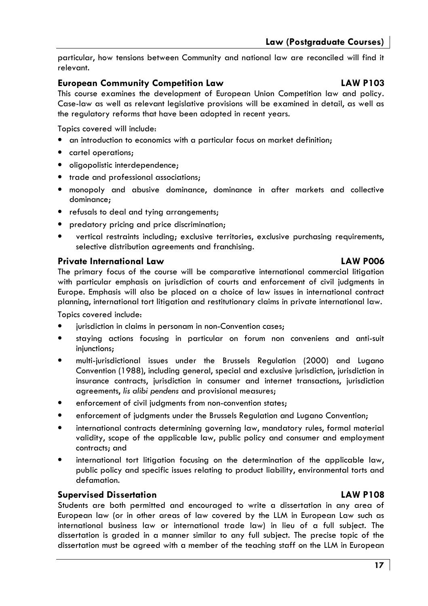particular, how tensions between Community and national law are reconciled will find it relevant.

# **European Community Competition Law**

This course examines the development of European Union Competition law and policy. Case-law as well as relevant leaislative provisions will be examined in detail, as well as the regulatory reforms that have been adopted in recent years.

Topics covered will include:

- an introduction to economics with a particular focus on market definition;
- cartel operations;
- oligopolistic interdependence:
- trade and professional associations:
- · monopoly and abusive dominance, dominance in after markets and collective dominance:
- refusals to deal and tying arrangements;
- predatory pricing and price discrimination;
- vertical restraints including; exclusive territories, exclusive purchasing requirements, selective distribution agreements and franchising.

## **Private International Law**

# The primary focus of the course will be comparative international commercial litigation with particular emphasis on jurisdiction of courts and enforcement of civil judgments in Europe. Emphasis will also be placed on a choice of law issues in international contract planning, international tort litigation and restitutionary claims in private international law.

Topics covered include:

- jurisdiction in claims in personam in non-Convention cases;
- $\bullet$ staying actions focusing in particular on forum non conveniens and anti-suit injunctions;
- multi-jurisdictional issues under the Brussels Regulation (2000) and Lugano Convention (1988), including general, special and exclusive jurisdiction, jurisdiction in insurance contracts, jurisdiction in consumer and internet transactions, jurisdiction agreements, lis alibi pendens and provisional measures;
- enforcement of civil judgments from non-convention states;
- enforcement of judgments under the Brussels Regulation and Lugano Convention;
- international contracts determining governing law, mandatory rules, formal material validity, scope of the applicable law, public policy and consumer and employment contracts: and
- international tort litigation focusing on the determination of the applicable law, public policy and specific issues relating to product liability, environmental torts and defamation.

## **Supervised Dissertation**

Students are both permitted and encouraged to write a dissertation in any area of European law (or in other areas of law covered by the LLM in European Law such as international business law or international trade law) in lieu of a full subject. The dissertation is graded in a manner similar to any full subject. The precise topic of the dissertation must be agreed with a member of the teaching staff on the LLM in European

# **LAW P108**

# **LAW POO6**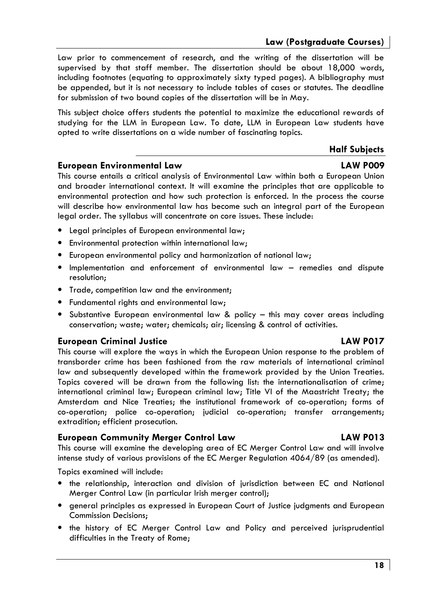Law prior to commencement of research, and the writing of the dissertation will be supervised by that staff member. The dissertation should be about 18,000 words, including footnotes (equating to approximately sixty typed pages). A bibliography must be appended, but it is not necessary to include tables of cases or statutes. The deadline for submission of two bound copies of the dissertation will be in May.

This subject choice offers students the potential to maximize the educational rewards of studying for the LLM in European Law. To date, LLM in European Law students have opted to write dissertations on a wide number of fascinating topics.

## **Half Subjects**

## **European Environmental Law**

This course entails a critical analysis of Environmental Law within both a European Union and broader international context. It will examine the principles that are applicable to environmental protection and how such protection is enforced. In the process the course will describe how environmental law has become such an integral part of the European legal order. The syllabus will concentrate on core issues. These include:

- Legal principles of European environmental law;
- Environmental protection within international law;
- European environmental policy and harmonization of national law;
- Implementation and enforcement of environmental law remedies and dispute resolution:
- Trade, competition law and the environment;
- Fundamental riahts and environmental law:
- Substantive European environmental law & policy this may cover areas including conservation; waste; water; chemicals; air; licensing & control of activities.

## **European Criminal Justice**

This course will explore the ways in which the European Union response to the problem of transborder crime has been fashioned from the raw materials of international criminal law and subsequently developed within the framework provided by the Union Treaties. Topics covered will be drawn from the following list: the internationalisation of crime; international criminal law; European criminal law; Title VI of the Maastricht Treaty; the Amsterdam and Nice Treaties; the institutional framework of co-operation; forms of co-operation; police co-operation; judicial co-operation; transfer arrangements; extradition; efficient prosecution.

## **European Community Merger Control Law**

This course will examine the developing area of EC Merger Control Law and will involve intense study of various provisions of the EC Merger Regulation  $4064/89$  (as amended).

Topics examined will include:

- the relationship, interaction and division of jurisdiction between EC and National Merger Control Law (in particular Irish merger control);
- general principles as expressed in European Court of Justice judgments and European **Commission Decisions;**
- the history of EC Merger Control Law and Policy and perceived jurisprudential difficulties in the Treaty of Rome;

# **LAW POO9**

# **LAW PO17**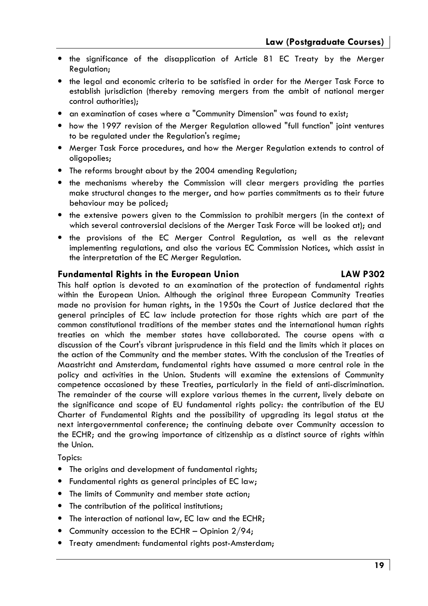- the significance of the disapplication of Article 81 EC Treaty by the Merger Regulation;
- the legal and economic criteria to be satisfied in order for the Merger Task Force to establish jurisdiction (thereby removing mergers from the ambit of national merger control authorities):
- an examination of cases where a "Community Dimension" was found to exist;
- how the 1997 revision of the Merger Regulation allowed "full function" joint ventures to be regulated under the Regulation's regime;
- Merger Task Force procedures, and how the Merger Regulation extends to control of oligopolies;
- The reforms brought about by the 2004 amending Regulation;
- the mechanisms whereby the Commission will clear mergers providing the parties make structural changes to the merger, and how parties commitments as to their future behaviour may be policed;
- the extensive powers given to the Commission to prohibit mergers (in the context of which several controversial decisions of the Merger Task Force will be looked at); and
- the provisions of the EC Merger Control Regulation, as well as the relevant implementing regulations, and also the various EC Commission Notices, which assist in the interpretation of the EC Merger Regulation.

#### **Fundamental Rights in the European Union**

#### This half option is devoted to an examination of the protection of fundamental rights within the European Union. Although the original three European Community Treaties made no provision for human rights, in the 1950s the Court of Justice declared that the general principles of EC law include protection for those rights which are part of the common constitutional traditions of the member states and the international human rights treaties on which the member states have collaborated. The course opens with a discussion of the Court's vibrant jurisprudence in this field and the limits which it places on the action of the Community and the member states. With the conclusion of the Treaties of Maastricht and Amsterdam, fundamental rights have assumed a more central role in the policy and activities in the Union. Students will examine the extensions of Community competence occasioned by these Treaties, particularly in the field of anti-discrimination. The remainder of the course will explore various themes in the current, lively debate on the significance and scope of EU fundamental rights policy: the contribution of the EU Charter of Fundamental Rights and the possibility of upgrading its legal status at the next intergovernmental conference; the continuing debate over Community accession to the ECHR; and the growing importance of citizenship as a distinct source of rights within the Union.

Topics:

- The origins and development of fundamental rights;
- Fundamental rights as general principles of EC law;
- The limits of Community and member state action;
- The contribution of the political institutions;
- The interaction of national law, EC law and the ECHR;
- Community accession to the ECHR Opinion  $2/94$ ;
- Treaty amendment: fundamental rights post-Amsterdam;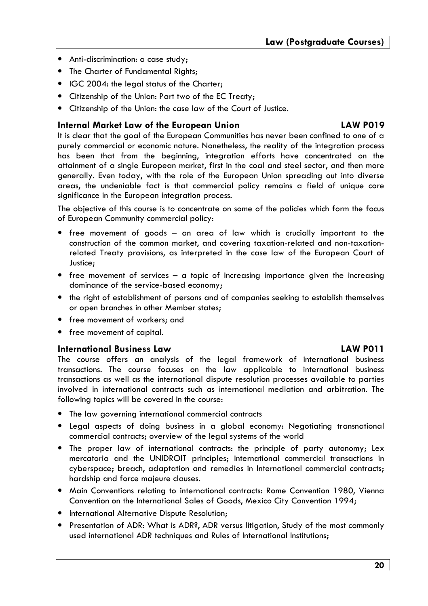- Anti-discrimination: a case study;
- The Charter of Fundamental Rights;
- IGC 2004: the leaal status of the Charter:
- Citizenship of the Union: Part two of the EC Treaty;
- Citizenship of the Union: the case law of the Court of Justice.

# Internal Market Law of the European Union

# **LAW PO19**

It is clear that the goal of the European Communities has never been confined to one of a purely commercial or economic nature. Nonetheless, the reality of the integration process has been that from the beginning, integration efforts have concentrated on the attainment of a single European market, first in the coal and steel sector, and then more generally. Even today, with the role of the European Union spreading out into diverse areas, the undeniable fact is that commercial policy remains a field of unique core significance in the European integration process.

The objective of this course is to concentrate on some of the policies which form the focus of European Community commercial policy:

- free movement of goods an area of law which is crucially important to the construction of the common market, and covering taxation-related and non-taxationrelated Treaty provisions, as interpreted in the case law of the European Court of Justice:
- free movement of services  $-$  a topic of increasing importance given the increasing dominance of the service-based economy;
- the right of establishment of persons and of companies seeking to establish themselves or open branches in other Member states;
- free movement of workers; and
- free movement of capital.

## **International Business Law**

# **LAW PO11**

The course offers an analysis of the legal framework of international business transactions. The course focuses on the law applicable to international business transactions as well as the international dispute resolution processes available to parties involved in international contracts such as international mediation and arbitration. The following topics will be covered in the course:

- The law governing international commercial contracts
- Legal aspects of doing business in a global economy: Negotiating transnational commercial contracts; overview of the legal systems of the world
- The proper law of international contracts: the principle of party autonomy; Lex mercatoria and the UNIDROIT principles; international commercial transactions in cyberspace; breach, adaptation and remedies in International commercial contracts; hardship and force majeure clauses.
- Main Conventions relating to international contracts: Rome Convention 1980, Vienna Convention on the International Sales of Goods, Mexico City Convention 1994;
- International Alternative Dispute Resolution;
- Presentation of ADR: What is ADR?, ADR versus litigation, Study of the most commonly used international ADR techniques and Rules of International Institutions;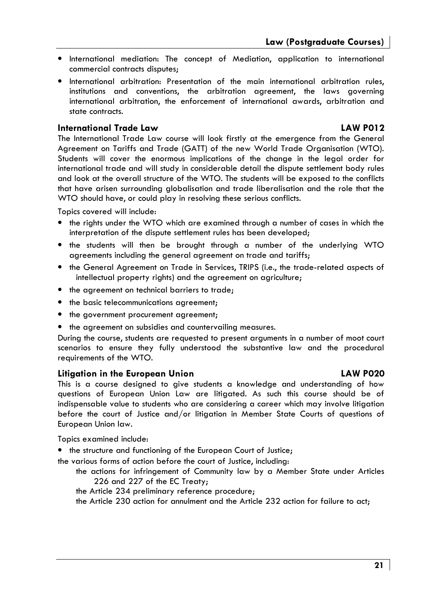- International mediation: The concept of Mediation, application to international commercial contracts disputes;
- International arbitration: Presentation of the main international arbitration rules, institutions and conventions, the arbitration agreement, the laws governing international arbitration, the enforcement of international awards, arbitration and state contracts.

# **International Trade Law**

# **LAW P012**

The International Trade Law course will look firstly at the emergence from the General Agreement on Tariffs and Trade (GATT) of the new World Trade Organisation (WTO). Students will cover the enormous implications of the change in the legal order for international trade and will study in considerable detail the dispute settlement body rules and look at the overall structure of the WTO. The students will be exposed to the conflicts that have arisen surrounding alobalisation and trade liberalisation and the role that the WTO should have, or could play in resolvina these serious conflicts.

Topics covered will include:

- the rights under the WTO which are examined through a number of cases in which the interpretation of the dispute settlement rules has been developed;
- the students will then be brought through a number of the underlying WTO agreements including the general agreement on trade and tariffs;
- . the General Agreement on Trade in Services, TRIPS (i.e., the trade-related aspects of intellectual property rights) and the agreement on agriculture;
- the agreement on technical barriers to trade;
- the basic telecommunications agreement:
- the government procurement agreement;
- the agreement on subsidies and countervailing measures.

During the course, students are requested to present arguments in a number of moot court scenarios to ensure they fully understood the substantive law and the procedural requirements of the WTO.

# Litigation in the European Union

This is a course designed to give students a knowledge and understanding of how questions of European Union Law are litigated. As such this course should be of indispensable value to students who are considering a career which may involve litigation before the court of Justice and/or litigation in Member State Courts of questions of European Union law.

Topics examined include:

• the structure and functioning of the European Court of Justice;

the various forms of action before the court of Justice, including:

- the actions for infringement of Community law by a Member State under Articles 226 and 227 of the EC Treaty;
- the Article 234 preliminary reference procedure;
- the Article 230 action for annulment and the Article 232 action for failure to act;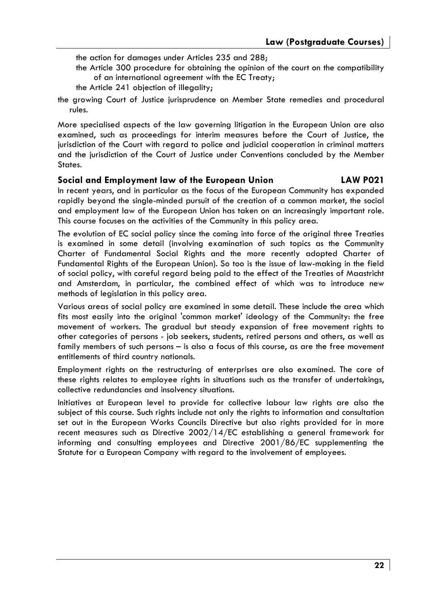the action for damages under Articles 235 and 288;

- the Article 300 procedure for obtaining the opinion of the court on the compatibility of an international agreement with the EC Treaty;
- the Article 241 objection of illegality:
- the growing Court of Justice jurisprudence on Member State remedies and procedural rules.

More specialised aspects of the law governing litigation in the European Union are also examined, such as proceedings for interim measures before the Court of Justice, the jurisdiction of the Court with regard to police and judicial cooperation in criminal matters and the jurisdiction of the Court of Justice under Conventions concluded by the Member States.

#### Social and Employment law of the European Union **LAW P021**

In recent years, and in particular as the focus of the European Community has expanded rapidly beyond the single-minded pursuit of the creation of a common market, the social and employment law of the European Union has taken on an increasingly important role. This course focuses on the activities of the Community in this policy area.

The evolution of EC social policy since the coming into force of the original three Treaties is examined in some detail (involving examination of such topics as the Community Charter of Fundamental Social Rights and the more recently adopted Charter of Fundamental Rights of the European Union). So too is the issue of law-making in the field of social policy, with careful regard being paid to the effect of the Treaties of Maastricht and Amsterdam, in particular, the combined effect of which was to introduce new methods of legislation in this policy area.

Various areas of social policy are examined in some detail. These include the area which fits most easily into the original 'common market' ideology of the Community: the free movement of workers. The gradual but steady expansion of free movement rights to other categories of persons - job seekers, students, retired persons and others, as well as family members of such persons - is also a focus of this course, as are the free movement entitlements of third country nationals.

Employment rights on the restructuring of enterprises are also examined. The core of these rights relates to employee rights in situations such as the transfer of undertakings, collective redundancies and insolvency situations.

Initiatives at European level to provide for collective labour law rights are also the subject of this course. Such rights include not only the rights to information and consultation set out in the European Works Councils Directive but also rights provided for in more recent measures such as Directive 2002/14/EC establishing a general framework for informing and consulting employees and Directive 2001/86/EC supplementing the Statute for a European Company with regard to the involvement of employees.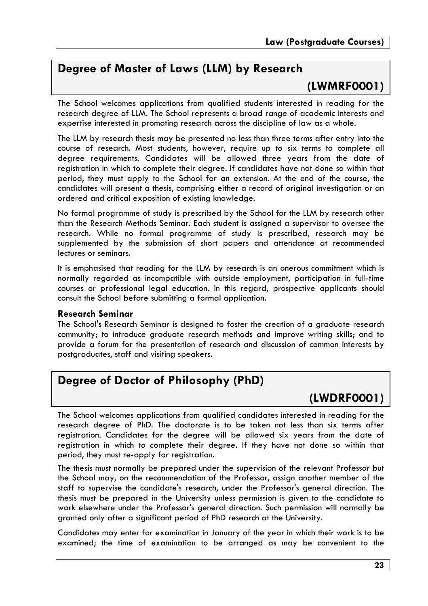# Degree of Master of Laws (LLM) by Research

# (LWMRF0001)

The School welcomes applications from qualified students interested in reading for the research degree of LLM. The School represents a broad range of academic interests and expertise interested in promoting research across the discipline of law as a whole.

The LLM by research thesis may be presented no less than three terms after entry into the course of research. Most students, however, require up to six terms to complete all degree requirements. Candidates will be allowed three years from the date of registration in which to complete their degree. If candidates have not done so within that period, they must apply to the School for an extension. At the end of the course, the candidates will present a thesis, comprising either a record of original investigation or an ordered and critical exposition of existing knowledge.

No formal programme of study is prescribed by the School for the LLM by research other than the Research Methods Seminar. Each student is assigned a supervisor to oversee the research. While no formal programme of study is prescribed, research may be supplemented by the submission of short papers and attendance at recommended lectures or seminars.

It is emphasised that reading for the LLM by research is an onerous commitment which is normally regarded as incompatible with outside employment, participation in full-time courses or professional legal education. In this regard, prospective applicants should consult the School before submitting a formal application.

## **Research Seminar**

The School's Research Seminar is designed to foster the creation of a graduate research community; to introduce graduate research methods and improve writing skills; and to provide a forum for the presentation of research and discussion of common interests by postgraduates, staff and visiting speakers.

# Degree of Doctor of Philosophy (PhD)

# (LWDRF0001)

The School welcomes applications from qualified candidates interested in reading for the research degree of PhD. The doctorate is to be taken not less than six terms after registration. Candidates for the degree will be allowed six years from the date of registration in which to complete their degree. If they have not done so within that period, they must re-apply for registration.

The thesis must normally be prepared under the supervision of the relevant Professor but the School may, on the recommendation of the Professor, assign another member of the staff to supervise the candidate's research, under the Professor's general direction. The thesis must be prepared in the University unless permission is given to the candidate to work elsewhere under the Professor's general direction. Such permission will normally be granted only after a significant period of PhD research at the University.

Candidates may enter for examination in January of the year in which their work is to be examined; the time of examination to be arranged as may be convenient to the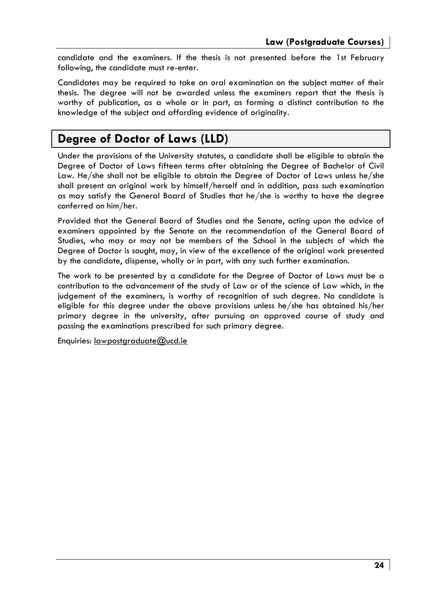candidate and the examiners. If the thesis is not presented before the 1st February following, the candidate must re-enter.

Candidates may be required to take an oral examination on the subject matter of their thesis. The degree will not be awarded unless the examiners report that the thesis is worthy of publication, as a whole or in part, as forming a distinct contribution to the knowledge of the subject and affording evidence of originality.

# **Degree of Doctor of Laws (LLD)**

Under the provisions of the University statutes, a candidate shall be eligible to obtain the Degree of Doctor of Laws fifteen terms after obtaining the Degree of Bachelor of Civil Law. He/she shall not be eligible to obtain the Degree of Doctor of Laws unless he/she shall present an original work by himself/herself and in addition, pass such examination as may satisfy the General Board of Studies that he/she is worthy to have the degree conferred on him/her.

Provided that the General Board of Studies and the Senate, acting upon the advice of examiners appointed by the Senate on the recommendation of the General Board of Studies, who may or may not be members of the School in the subjects of which the Degree of Doctor is sought, may, in view of the excellence of the original work presented by the candidate, dispense, wholly or in part, with any such further examination.

The work to be presented by a candidate for the Degree of Doctor of Laws must be a contribution to the advancement of the study of Law or of the science of Law which, in the judgement of the examiners, is worthy of recognition of such degree. No candidate is eligible for this degree under the above provisions unless he/she has obtained his/her primary degree in the university, after pursuing an approved course of study and passing the examinations prescribed for such primary degree.

Enquiries: lawpostgraduate@ucd.ie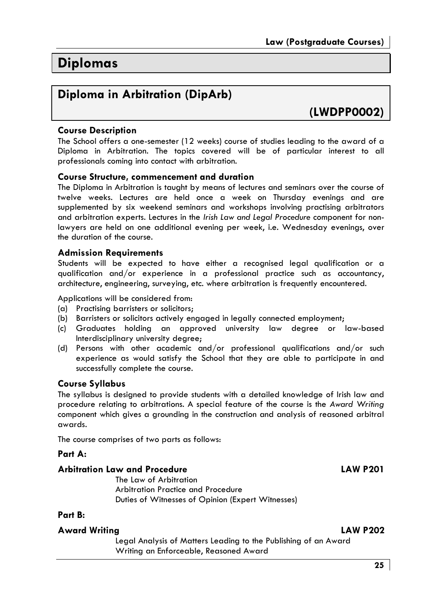# **Diplomas**

# Diploma in Arbitration (DipArb)

(LWDPP0002)

# **Course Description**

The School offers a one-semester (12 weeks) course of studies leading to the award of a Diploma in Arbitration. The topics covered will be of particular interest to all professionals coming into contact with arbitration.

## **Course Structure, commencement and duration**

The Diploma in Arbitration is taught by means of lectures and seminars over the course of twelve weeks. Lectures are held once a week on Thursday evenings and are supplemented by six weekend seminars and workshops involving practising arbitrators and arbitration experts. Lectures in the Irish Law and Legal Procedure component for nonlawyers are held on one additional evening per week, i.e. Wednesday evenings, over the duration of the course.

#### **Admission Requirements**

Students will be expected to have either a recognised legal qualification or a qualification and/or experience in a professional practice such as accountancy, architecture, engineering, surveying, etc. where arbitration is frequently encountered.

Applications will be considered from:

- (a) Practisina barristers or solicitors:
- (b) Barristers or solicitors actively engaged in legally connected employment;
- (c) Graduates holding an approved university law degree or law-based Interdisciplinary university degree;
- (d) Persons with other academic and/or professional qualifications and/or such experience as would satisfy the School that they are able to participate in and successfully complete the course.

## **Course Syllabus**

The syllabus is designed to provide students with a detailed knowledge of Irish law and procedure relating to arbitrations. A special feature of the course is the Award Writing component which gives a grounding in the construction and analysis of reasoned arbitral awards.

The course comprises of two parts as follows:

#### Part A:

#### **Arbitration Law and Procedure**

The Law of Arbitration Arbitration Practice and Procedure Duties of Witnesses of Opinion (Expert Witnesses)

## Part B:

#### **Award Writina**

Legal Analysis of Matters Leading to the Publishing of an Award Writing an Enforceable, Reasoned Award

**LAW P201**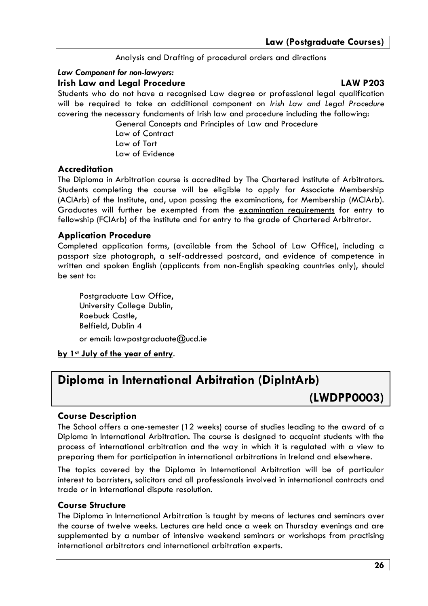Analysis and Drafting of procedural orders and directions

## Law Component for non-lawyers:

# **Irish Law and Legal Procedure**

# **LAW P203**

Students who do not have a recognised Law degree or professional legal qualification will be required to take an additional component on Irish Law and Legal Procedure covering the necessary fundaments of Irish law and procedure including the following:

> General Concepts and Principles of Law and Procedure Law of Contract Law of Tort Law of Evidence

# **Accreditation**

The Diploma in Arbitration course is accredited by The Chartered Institute of Arbitrators. Students completing the course will be eligible to apply for Associate Membership (ACIArb) of the Institute, and, upon passing the examinations, for Membership (MCIArb). Graduates will further be exempted from the examination requirements for entry to fellowship (FCIArb) of the institute and for entry to the arade of Chartered Arbitrator.

# **Application Procedure**

Completed application forms, (available from the School of Law Office), including a passport size photograph, a self-addressed postcard, and evidence of competence in written and spoken English (applicants from non-English speaking countries only), should be sent to:

Postgraduate Law Office, University College Dublin, Roebuck Castle, Belfield, Dublin 4 or email: lawpostgraduate@ucd.ie

by 1st July of the year of entry.

# Diploma in International Arbitration (DipIntArb)

(LWDPP0003)

# **Course Description**

The School offers a one-semester (12 weeks) course of studies leading to the award of a Diploma in International Arbitration. The course is designed to acquaint students with the process of international arbitration and the way in which it is regulated with a view to preparing them for participation in international arbitrations in Ireland and elsewhere.

The topics covered by the Diploma in International Arbitration will be of particular interest to barristers, solicitors and all professionals involved in international contracts and trade or in international dispute resolution.

## **Course Structure**

The Diploma in International Arbitration is taught by means of lectures and seminars over the course of twelve weeks. Lectures are held once a week on Thursday evenings and are supplemented by a number of intensive weekend seminars or workshops from practising international arbitrators and international arbitration experts.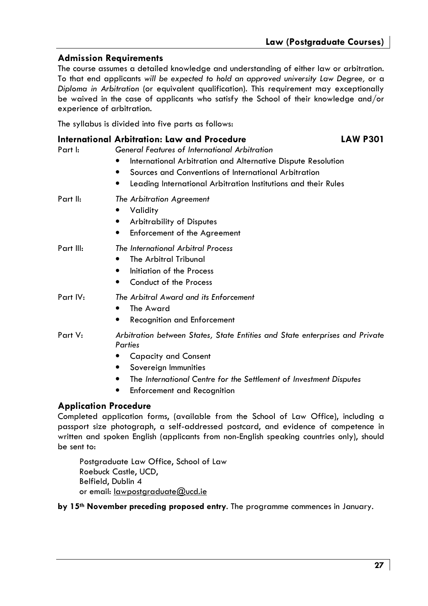# **Admission Requirements**

The course assumes a detailed knowledge and understanding of either law or arbitration. To that end applicants will be expected to hold an approved university Law Degree, or a Diploma in Arbitration (or equivalent qualification). This requirement may exceptionally be waived in the case of applicants who satisfy the School of their knowledge and/or experience of arbitration.

The syllabus is divided into five parts as follows:

| Part I:   | International Arbitration: Law and Procedure<br>General Features of International Arbitration                                                                                                                 | <b>LAW P301</b> |
|-----------|---------------------------------------------------------------------------------------------------------------------------------------------------------------------------------------------------------------|-----------------|
|           | International Arbitration and Alternative Dispute Resolution<br>Sources and Conventions of International Arbitration<br>Leading International Arbitration Institutions and their Rules                        |                 |
| Part II:  | The Arbitration Agreement<br>Validity<br>٠<br><b>Arbitrability of Disputes</b><br>Enforcement of the Agreement                                                                                                |                 |
| Part III: | The International Arbitral Process<br>The Arbitral Tribunal<br>Initiation of the Process<br>٠<br>Conduct of the Process<br>٠                                                                                  |                 |
| Part IV:  | The Arbitral Award and its Enforcement<br>The Award<br><b>Recognition and Enforcement</b><br>٠                                                                                                                |                 |
| Part V:   | Arbitration between States, State Entities and State enterprises and Private<br>Parties<br>Capacity and Consent<br>Sovereign Immunities<br>The International Centre for the Settlement of Investment Disputes |                 |

 $\bullet$ **Enforcement and Recognition** 

# **Application Procedure**

Completed application forms, (available from the School of Law Office), including a passport size photograph, a self-addressed postcard, and evidence of competence in written and spoken English (applicants from non-English speaking countries only), should be sent to:

Postgraduate Law Office, School of Law Roebuck Castle, UCD, Belfield, Dublin 4 or email: lawpostgraduate@ucd.ie

## by 15<sup>th</sup> November preceding proposed entry. The programme commences in January.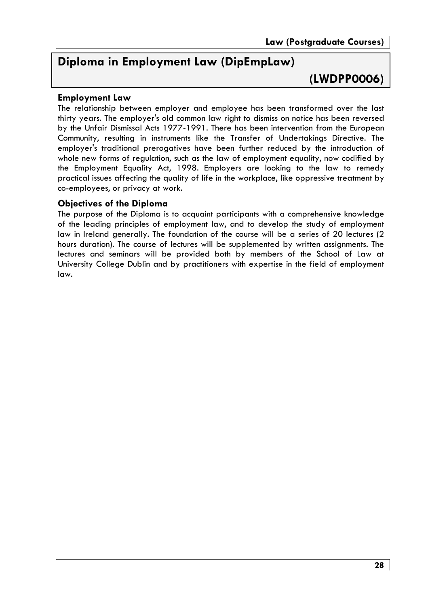# Diploma in Employment Law (DipEmpLaw)

(LWDPP0006)

# **Employment Law**

The relationship between employer and employee has been transformed over the last thirty years. The employer's old common law right to dismiss on notice has been reversed by the Unfair Dismissal Acts 1977-1991. There has been intervention from the European Community, resulting in instruments like the Transfer of Undertakings Directive. The employer's traditional prerogatives have been further reduced by the introduction of whole new forms of regulation, such as the law of employment equality, now codified by the Employment Equality Act, 1998. Employers are looking to the law to remedy practical issues affecting the quality of life in the workplace, like oppressive treatment by co-employees, or privacy at work.

# **Objectives of the Diploma**

The purpose of the Diploma is to acquaint participants with a comprehensive knowledge of the leading principles of employment law, and to develop the study of employment law in Ireland generally. The foundation of the course will be a series of 20 lectures (2) hours duration). The course of lectures will be supplemented by written assianments. The lectures and seminars will be provided both by members of the School of Law at University College Dublin and by practitioners with expertise in the field of employment law.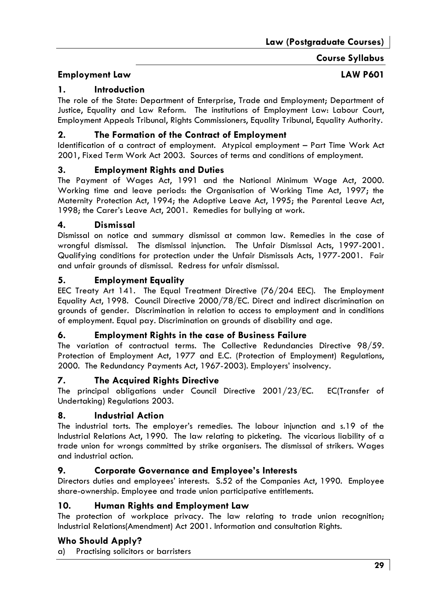# **Course Syllabus**

# **Employment Law**

# **LAW P601**

#### 1. **Introduction**

The role of the State: Department of Enterprise, Trade and Employment; Department of Justice, Equality and Law Reform. The institutions of Employment Law: Labour Court, Employment Appeals Tribunal, Rights Commissioners, Equality Tribunal, Equality Authority.

#### $2.$ The Formation of the Contract of Employment

Identification of a contract of employment. Atypical employment - Part Time Work Act 2001, Fixed Term Work Act 2003. Sources of terms and conditions of employment.

#### $3<sub>1</sub>$ **Employment Rights and Duties**

The Payment of Wages Act, 1991 and the National Minimum Wage Act, 2000. Working time and leave periods: the Organisation of Working Time Act, 1997; the Maternity Protection Act, 1994; the Adoptive Leave Act, 1995; the Parental Leave Act, 1998; the Carer's Leave Act, 2001. Remedies for bullying at work.

#### $\mathbf{A}$ **Dismissal**

Dismissal on notice and summary dismissal at common law. Remedies in the case of wrongful dismissal. The dismissal injunction. The Unfair Dismissal Acts, 1997-2001. Qualifying conditions for protection under the Unfair Dismissals Acts, 1977-2001. Fair and unfair arounds of dismissal. Redress for unfair dismissal.

#### **Employment Equality** 5.

EEC Treaty Art 141. The Equal Treatment Directive (76/204 EEC). The Employment Equality Act. 1998. Council Directive 2000/78/EC. Direct and indirect discrimination on grounds of gender. Discrimination in relation to access to employment and in conditions of employment. Equal pay. Discrimination on grounds of disability and age.

#### 6. **Employment Rights in the case of Business Failure**

The variation of contractual terms. The Collective Redundancies Directive 98/59. Protection of Employment Act, 1977 and E.C. (Protection of Employment) Regulations, 2000. The Redundancy Payments Act, 1967-2003). Employers' insolvency.

#### 7. The Acquired Rights Directive

The principal obligations under Council Directive 2001/23/EC. EC(Transfer of Undertaking) Regulations 2003.

#### 8. **Industrial Action**

The industrial torts. The employer's remedies. The labour injunction and s.19 of the Industrial Relations Act, 1990. The law relating to picketing. The vicarious liability of a trade union for wrongs committed by strike organisers. The dismissal of strikers. Wages and industrial action.

#### 9. **Corporate Governance and Employee's Interests**

Directors duties and employees' interests. S.52 of the Companies Act, 1990. Employee share-ownership. Employee and trade union participative entitlements.

#### 10. Human Rights and Employment Law

The protection of workplace privacy. The law relating to trade union recognition; Industrial Relations(Amendment) Act 2001. Information and consultation Rights.

# **Who Should Apply?**

Practising solicitors or barristers a)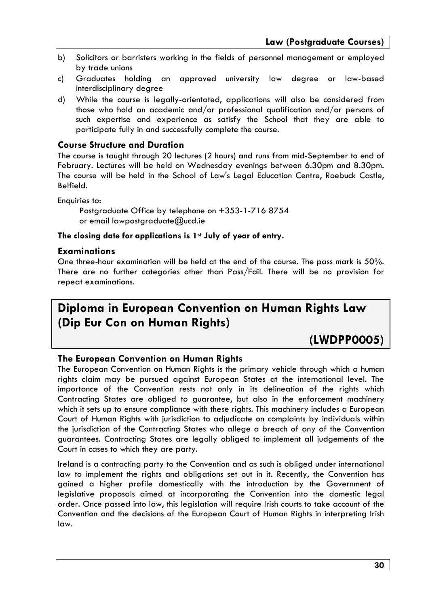- b) Solicitors or barristers working in the fields of personnel management or employed by trade unions
- $c)$ Graduates holding an approved university law degree or law-based interdisciplinary degree
- While the course is legally-orientated, applications will also be considered from d) those who hold an academic and/or professional qualification and/or persons of such expertise and experience as satisfy the School that they are able to participate fully in and successfully complete the course.

# **Course Structure and Duration**

The course is taught through 20 lectures (2 hours) and runs from mid-September to end of February. Lectures will be held on Wednesday evenings between 6.30pm and 8.30pm. The course will be held in the School of Law's Legal Education Centre, Roebuck Castle, Belfield.

Enauiries to:

Postgraduate Office by telephone on +353-1-716 8754 or email lawpostgraduate@ucd.ie

#### The closing date for applications is 1st July of year of entry.

## **Examinations**

One three-hour examination will be held at the end of the course. The pass mark is 50%. There are no further categories other than Pass/Fail. There will be no provision for repeat examinations.

# Diploma in European Convention on Human Rights Law (Dip Eur Con on Human Rights)

# (LWDPP0005)

## The European Convention on Human Rights

The European Convention on Human Rights is the primary vehicle through which a human rights claim may be pursued against European States at the international level. The importance of the Convention rests not only in its delineation of the rights which Contracting States are obliged to guarantee, but also in the enforcement machinery which it sets up to ensure compliance with these rights. This machinery includes a European Court of Human Rights with jurisdiction to adjudicate on complaints by individuals within the jurisdiction of the Contracting States who allege a breach of any of the Convention guarantees. Contracting States are legally obliged to implement all judgements of the Court in cases to which they are party.

Ireland is a contracting party to the Convention and as such is obliged under international law to implement the rights and obligations set out in it. Recently, the Convention has gained a higher profile domestically with the introduction by the Government of legislative proposals aimed at incorporating the Convention into the domestic legal order. Once passed into law, this legislation will require Irish courts to take account of the Convention and the decisions of the European Court of Human Rights in interpreting Irish law.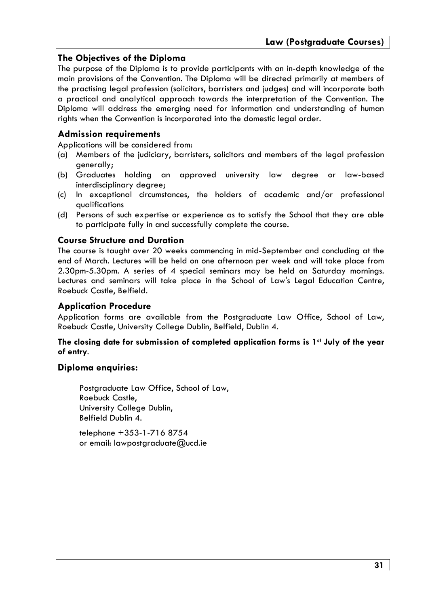# The Objectives of the Diploma

The purpose of the Diploma is to provide participants with an in-depth knowledge of the main provisions of the Convention. The Diploma will be directed primarily at members of the practising legal profession (solicitors, barristers and judges) and will incorporate both a practical and analytical approach towards the interpretation of the Convention. The Diploma will address the emerging need for information and understanding of human riahts when the Convention is incorporated into the domestic legal order.

# **Admission requirements**

Applications will be considered from:

- (a) Members of the judiciary, barristers, solicitors and members of the leagl profession generally;
- (b) Graduates holding an approved university law degree or law-based interdisciplinary degree;
- (c) In exceptional circumstances, the holders of academic and/or professional avalifications
- (d) Persons of such expertise or experience as to satisfy the School that they are able to participate fully in and successfully complete the course.

# **Course Structure and Duration**

The course is taught over 20 weeks commencing in mid-September and concluding at the end of March. Lectures will be held on one afternoon per week and will take place from 2.30pm-5.30pm. A series of 4 special seminars may be held on Saturday mornings. Lectures and seminars will take place in the School of Law's Legal Education Centre, Roebuck Castle, Belfield.

# **Application Procedure**

Application forms are available from the Postgraduate Law Office, School of Law, Roebuck Castle, University College Dublin, Belfield, Dublin 4.

#### The closing date for submission of completed application forms is 1st July of the year of entry.

## Diploma enquiries:

Postgraduate Law Office, School of Law, Roebuck Castle, University College Dublin. Belfield Dublin 4.

telephone +353-1-716 8754 or email: lawpostgraduate@ucd.ie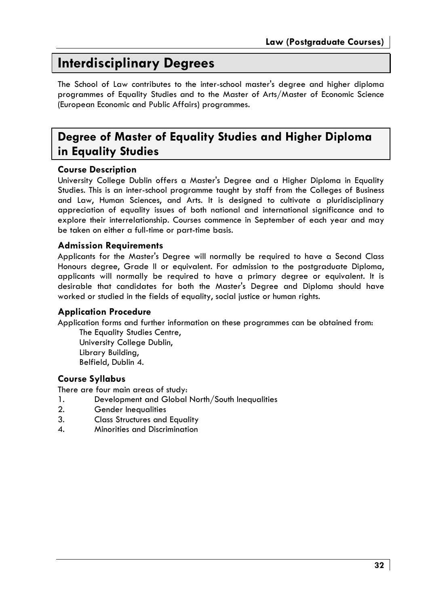# **Interdisciplinary Degrees**

The School of Law contributes to the inter-school master's degree and higher diploma programmes of Equality Studies and to the Master of Arts/Master of Economic Science (European Economic and Public Affairs) programmes.

# Degree of Master of Equality Studies and Higher Diploma in Equality Studies

# **Course Description**

University College Dublin offers a Master's Degree and a Higher Diploma in Equality Studies. This is an inter-school programme taught by staff from the Colleges of Business and Law, Human Sciences, and Arts. It is designed to cultivate a pluridisciplinary appreciation of equality issues of both national and international significance and to explore their interrelationship. Courses commence in September of each year and may be taken on either a full-time or part-time basis.

# **Admission Requirements**

Applicants for the Master's Dearee will normally be reauired to have a Second Class Honours dearee, Grade II or equivalent. For admission to the postgraduate Diploma, applicants will normally be required to have a primary degree or equivalent. It is desirable that candidates for both the Master's Degree and Diploma should have worked or studied in the fields of equality, social justice or human rights.

# **Application Procedure**

Application forms and further information on these programmes can be obtained from:

The Equality Studies Centre, University College Dublin, Library Building, Belfield, Dublin 4.

# **Course Syllabus**

There are four main areas of study:

- 1. Development and Global North/South Inequalities
- $2<sub>1</sub>$ **Gender Inequalities**
- $\mathbf{R}$ **Class Structures and Equality**
- $\mathbf{A}$ Minorities and Discrimination